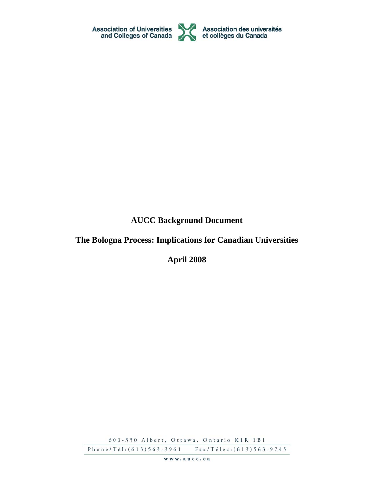

**AUCC Background Document** 

# **The Bologna Process: Implications for Canadian Universities**

**April 2008** 

600-350 Albert, Ottawa, Ontario K1R 1B1

Phone/Tél: (613) 563-3961 Fax/Télec: (613) 563-9745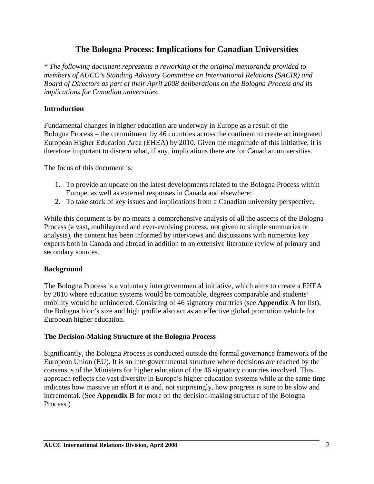# **The Bologna Process: Implications for Canadian Universities**

*\* The following document represents a reworking of the original memoranda provided to members of AUCC's Standing Advisory Committee on International Relations (SACIR) and Board of Directors as part of their April 2008 deliberations on the Bologna Process and its implications for Canadian universities.* 

### **Introduction**

Fundamental changes in higher education are underway in Europe as a result of the Bologna Process – the commitment by 46 countries across the continent to create an integrated European Higher Education Area (EHEA) by 2010. Given the magnitude of this initiative, it is therefore important to discern what, if any, implications there are for Canadian universities.

The focus of this document is:

- 1. To provide an update on the latest developments related to the Bologna Process within Europe, as well as external responses in Canada and elsewhere;
- 2. To take stock of key issues and implications from a Canadian university perspective.

While this document is by no means a comprehensive analysis of all the aspects of the Bologna Process (a vast, multilayered and ever-evolving process, not given to simple summaries or analysis), the content has been informed by interviews and discussions with numerous key experts both in Canada and abroad in addition to an extensive literature review of primary and secondary sources.

### **Background**

The Bologna Process is a voluntary intergovernmental initiative, which aims to create a EHEA by 2010 where education systems would be compatible, degrees comparable and students' mobility would be unhindered. Consisting of 46 signatory countries (see **Appendix A** for list), the Bologna bloc's size and high profile also act as an effective global promotion vehicle for European higher education.

### **The Decision-Making Structure of the Bologna Process**

Significantly, the Bologna Process is conducted outside the formal governance framework of the European Union (EU). It is an intergovernmental structure where decisions are reached by the consensus of the Ministers for higher education of the 46 signatory countries involved. This approach reflects the vast diversity in Europe's higher education systems while at the same time indicates how massive an effort it is and, not surprisingly, how progress is sure to be slow and incremental. (See **Appendix B** for more on the decision-making structure of the Bologna Process.)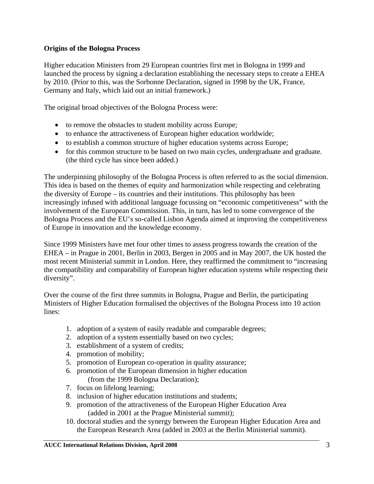### **Origins of the Bologna Process**

Higher education Ministers from 29 European countries first met in Bologna in 1999 and launched the process by signing a declaration establishing the necessary steps to create a EHEA by 2010. (Prior to this, was the Sorbonne Declaration, signed in 1998 by the UK, France, Germany and Italy, which laid out an initial framework.)

The original broad objectives of the Bologna Process were:

- to remove the obstacles to student mobility across Europe;
- to enhance the attractiveness of European higher education worldwide;
- to establish a common structure of higher education systems across Europe;
- for this common structure to be based on two main cycles, undergraduate and graduate. (the third cycle has since been added.)

The underpinning philosophy of the Bologna Process is often referred to as the social dimension. This idea is based on the themes of equity and harmonization while respecting and celebrating the diversity of Europe – its countries and their institutions. This philosophy has been increasingly infused with additional language focussing on "economic competitiveness" with the involvement of the European Commission. This, in turn, has led to some convergence of the Bologna Process and the EU's so-called Lisbon Agenda aimed at improving the competitiveness of Europe in innovation and the knowledge economy.

Since 1999 Ministers have met four other times to assess progress towards the creation of the EHEA – in Prague in 2001, Berlin in 2003, Bergen in 2005 and in May 2007, the UK hosted the most recent Ministerial summit in London. Here, they reaffirmed the commitment to "increasing the compatibility and comparability of European higher education systems while respecting their diversity".

Over the course of the first three summits in Bologna, Prague and Berlin, the participating Ministers of Higher Education formalised the objectives of the Bologna Process into 10 action lines:

- 1. adoption of a system of easily readable and comparable degrees;
- 2. adoption of a system essentially based on two cycles;
- 3. establishment of a system of credits;
- 4. promotion of mobility;
- 5. promotion of European co-operation in quality assurance;
- 6. promotion of the European dimension in higher education
	- (from the 1999 Bologna Declaration);
- 7. focus on lifelong learning;
- 8. inclusion of higher education institutions and students;
- 9. promotion of the attractiveness of the European Higher Education Area (added in 2001 at the Prague Ministerial summit);
- 10. doctoral studies and the synergy between the European Higher Education Area and the European Research Area (added in 2003 at the Berlin Ministerial summit).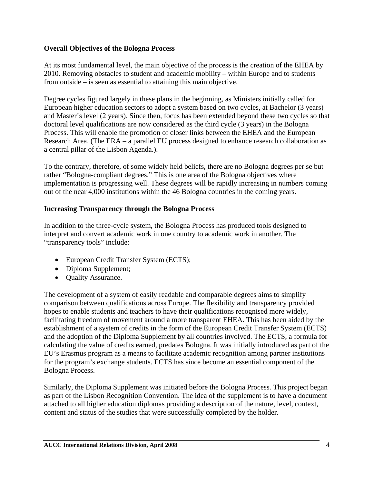### **Overall Objectives of the Bologna Process**

At its most fundamental level, the main objective of the process is the creation of the EHEA by 2010. Removing obstacles to student and academic mobility – within Europe and to students from outside – is seen as essential to attaining this main objective.

Degree cycles figured largely in these plans in the beginning, as Ministers initially called for European higher education sectors to adopt a system based on two cycles, at Bachelor (3 years) and Master's level (2 years). Since then, focus has been extended beyond these two cycles so that doctoral level qualifications are now considered as the third cycle (3 years) in the Bologna Process. This will enable the promotion of closer links between the EHEA and the European Research Area. (The ERA – a parallel EU process designed to enhance research collaboration as a central pillar of the Lisbon Agenda.).

To the contrary, therefore, of some widely held beliefs, there are no Bologna degrees per se but rather "Bologna-compliant degrees." This is one area of the Bologna objectives where implementation is progressing well. These degrees will be rapidly increasing in numbers coming out of the near 4,000 institutions within the 46 Bologna countries in the coming years.

### **Increasing Transparency through the Bologna Process**

In addition to the three-cycle system, the Bologna Process has produced tools designed to interpret and convert academic work in one country to academic work in another. The "transparency tools" include:

- European Credit Transfer System (ECTS);
- Diploma Supplement;
- Quality Assurance.

The development of a system of easily readable and comparable degrees aims to simplify comparison between qualifications across Europe. The flexibility and transparency provided hopes to enable students and teachers to have their qualifications recognised more widely, facilitating freedom of movement around a more transparent EHEA. This has been aided by the establishment of a system of credits in the form of the European Credit Transfer System (ECTS) and the adoption of the Diploma Supplement by all countries involved. The ECTS, a formula for calculating the value of credits earned, predates Bologna. It was initially introduced as part of the EU's Erasmus program as a means to facilitate academic recognition among partner institutions for the program's exchange students. ECTS has since become an essential component of the Bologna Process.

Similarly, the Diploma Supplement was initiated before the Bologna Process. This project began as part of the Lisbon Recognition Convention. The idea of the supplement is to have a document attached to all higher education diplomas providing a description of the nature, level, context, content and status of the studies that were successfully completed by the holder.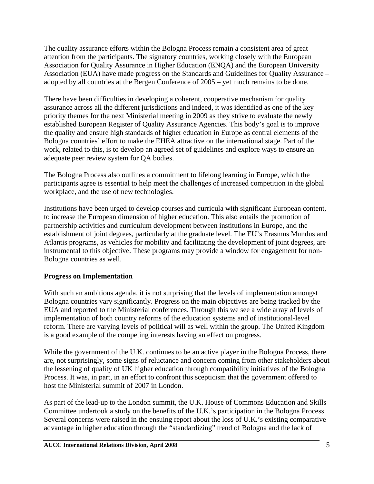The quality assurance efforts within the Bologna Process remain a consistent area of great attention from the participants. The signatory countries, working closely with the European Association for Quality Assurance in Higher Education (ENQA) and the European University Association (EUA) have made progress on the Standards and Guidelines for Quality Assurance – adopted by all countries at the Bergen Conference of 2005 – yet much remains to be done.

There have been difficulties in developing a coherent, cooperative mechanism for quality assurance across all the different jurisdictions and indeed, it was identified as one of the key priority themes for the next Ministerial meeting in 2009 as they strive to evaluate the newly established European Register of Quality Assurance Agencies. This body's goal is to improve the quality and ensure high standards of higher education in Europe as central elements of the Bologna countries' effort to make the EHEA attractive on the international stage. Part of the work, related to this, is to develop an agreed set of guidelines and explore ways to ensure an adequate peer review system for QA bodies.

The Bologna Process also outlines a commitment to lifelong learning in Europe, which the participants agree is essential to help meet the challenges of increased competition in the global workplace, and the use of new technologies.

Institutions have been urged to develop courses and curricula with significant European content, to increase the European dimension of higher education. This also entails the promotion of partnership activities and curriculum development between institutions in Europe, and the establishment of joint degrees, particularly at the graduate level. The EU's Erasmus Mundus and Atlantis programs, as vehicles for mobility and facilitating the development of joint degrees, are instrumental to this objective. These programs may provide a window for engagement for non-Bologna countries as well.

### **Progress on Implementation**

With such an ambitious agenda, it is not surprising that the levels of implementation amongst Bologna countries vary significantly. Progress on the main objectives are being tracked by the EUA and reported to the Ministerial conferences. Through this we see a wide array of levels of implementation of both country reforms of the education systems and of institutional-level reform. There are varying levels of political will as well within the group. The United Kingdom is a good example of the competing interests having an effect on progress.

While the government of the U.K. continues to be an active player in the Bologna Process, there are, not surprisingly, some signs of reluctance and concern coming from other stakeholders about the lessening of quality of UK higher education through compatibility initiatives of the Bologna Process. It was, in part, in an effort to confront this scepticism that the government offered to host the Ministerial summit of 2007 in London.

As part of the lead-up to the London summit, the U.K. House of Commons Education and Skills Committee undertook a study on the benefits of the U.K.'s participation in the Bologna Process. Several concerns were raised in the ensuing report about the loss of U.K.'s existing comparative advantage in higher education through the "standardizing" trend of Bologna and the lack of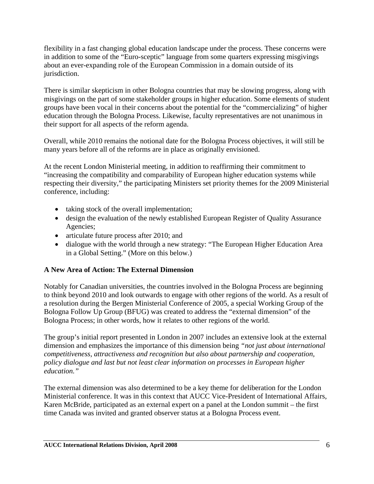flexibility in a fast changing global education landscape under the process. These concerns were in addition to some of the "Euro-sceptic" language from some quarters expressing misgivings about an ever-expanding role of the European Commission in a domain outside of its jurisdiction.

There is similar skepticism in other Bologna countries that may be slowing progress, along with misgivings on the part of some stakeholder groups in higher education. Some elements of student groups have been vocal in their concerns about the potential for the "commercializing" of higher education through the Bologna Process. Likewise, faculty representatives are not unanimous in their support for all aspects of the reform agenda.

Overall, while 2010 remains the notional date for the Bologna Process objectives, it will still be many years before all of the reforms are in place as originally envisioned.

At the recent London Ministerial meeting, in addition to reaffirming their commitment to "increasing the compatibility and comparability of European higher education systems while respecting their diversity," the participating Ministers set priority themes for the 2009 Ministerial conference, including:

- taking stock of the overall implementation;
- design the evaluation of the newly established European Register of Quality Assurance Agencies;
- articulate future process after 2010; and
- dialogue with the world through a new strategy: "The European Higher Education Area in a Global Setting." (More on this below.)

## **A New Area of Action: The External Dimension**

Notably for Canadian universities, the countries involved in the Bologna Process are beginning to think beyond 2010 and look outwards to engage with other regions of the world. As a result of a resolution during the Bergen Ministerial Conference of 2005, a special Working Group of the Bologna Follow Up Group (BFUG) was created to address the "external dimension" of the Bologna Process; in other words, how it relates to other regions of the world.

The group's initial report presented in London in 2007 includes an extensive look at the external dimension and emphasizes the importance of this dimension being *"not just about international competitiveness, attractiveness and recognition but also about partnership and cooperation, policy dialogue and last but not least clear information on processes in European higher education."*

The external dimension was also determined to be a key theme for deliberation for the London Ministerial conference. It was in this context that AUCC Vice-President of International Affairs, Karen McBride, participated as an external expert on a panel at the London summit – the first time Canada was invited and granted observer status at a Bologna Process event.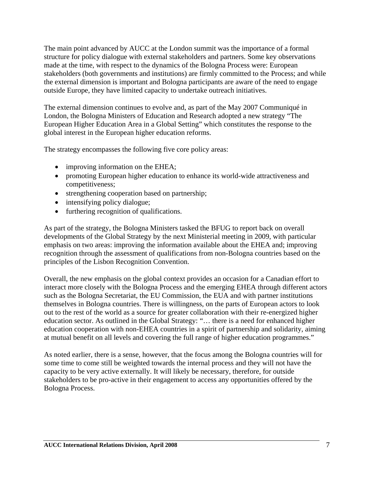The main point advanced by AUCC at the London summit was the importance of a formal structure for policy dialogue with external stakeholders and partners. Some key observations made at the time, with respect to the dynamics of the Bologna Process were: European stakeholders (both governments and institutions) are firmly committed to the Process; and while the external dimension is important and Bologna participants are aware of the need to engage outside Europe, they have limited capacity to undertake outreach initiatives.

The external dimension continues to evolve and, as part of the May 2007 Communiqué in London, the Bologna Ministers of Education and Research adopted a new strategy "The European Higher Education Area in a Global Setting" which constitutes the response to the global interest in the European higher education reforms.

The strategy encompasses the following five core policy areas:

- improving information on the EHEA;
- promoting European higher education to enhance its world-wide attractiveness and competitiveness;
- strengthening cooperation based on partnership;
- intensifying policy dialogue;
- furthering recognition of qualifications.

As part of the strategy, the Bologna Ministers tasked the BFUG to report back on overall developments of the Global Strategy by the next Ministerial meeting in 2009, with particular emphasis on two areas: improving the information available about the EHEA and; improving recognition through the assessment of qualifications from non-Bologna countries based on the principles of the Lisbon Recognition Convention.

Overall, the new emphasis on the global context provides an occasion for a Canadian effort to interact more closely with the Bologna Process and the emerging EHEA through different actors such as the Bologna Secretariat, the EU Commission, the EUA and with partner institutions themselves in Bologna countries. There is willingness, on the parts of European actors to look out to the rest of the world as a source for greater collaboration with their re-energized higher education sector. As outlined in the Global Strategy: "… there is a need for enhanced higher education cooperation with non-EHEA countries in a spirit of partnership and solidarity, aiming at mutual benefit on all levels and covering the full range of higher education programmes."

As noted earlier, there is a sense, however, that the focus among the Bologna countries will for some time to come still be weighted towards the internal process and they will not have the capacity to be very active externally. It will likely be necessary, therefore, for outside stakeholders to be pro-active in their engagement to access any opportunities offered by the Bologna Process.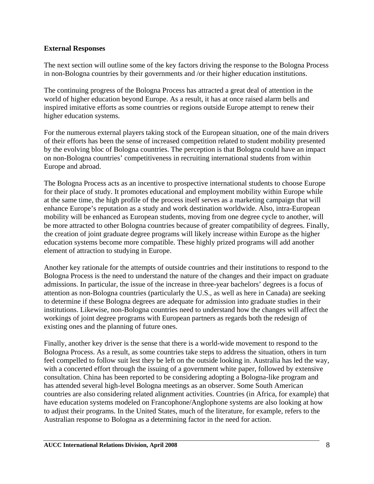### **External Responses**

The next section will outline some of the key factors driving the response to the Bologna Process in non-Bologna countries by their governments and /or their higher education institutions.

The continuing progress of the Bologna Process has attracted a great deal of attention in the world of higher education beyond Europe. As a result, it has at once raised alarm bells and inspired imitative efforts as some countries or regions outside Europe attempt to renew their higher education systems.

For the numerous external players taking stock of the European situation, one of the main drivers of their efforts has been the sense of increased competition related to student mobility presented by the evolving bloc of Bologna countries. The perception is that Bologna could have an impact on non-Bologna countries' competitiveness in recruiting international students from within Europe and abroad.

The Bologna Process acts as an incentive to prospective international students to choose Europe for their place of study. It promotes educational and employment mobility within Europe while at the same time, the high profile of the process itself serves as a marketing campaign that will enhance Europe's reputation as a study and work destination worldwide. Also, intra-European mobility will be enhanced as European students, moving from one degree cycle to another, will be more attracted to other Bologna countries because of greater compatibility of degrees. Finally, the creation of joint graduate degree programs will likely increase within Europe as the higher education systems become more compatible. These highly prized programs will add another element of attraction to studying in Europe.

Another key rationale for the attempts of outside countries and their institutions to respond to the Bologna Process is the need to understand the nature of the changes and their impact on graduate admissions. In particular, the issue of the increase in three-year bachelors' degrees is a focus of attention as non-Bologna countries (particularly the U.S., as well as here in Canada) are seeking to determine if these Bologna degrees are adequate for admission into graduate studies in their institutions. Likewise, non-Bologna countries need to understand how the changes will affect the workings of joint degree programs with European partners as regards both the redesign of existing ones and the planning of future ones.

Finally, another key driver is the sense that there is a world-wide movement to respond to the Bologna Process. As a result, as some countries take steps to address the situation, others in turn feel compelled to follow suit lest they be left on the outside looking in. Australia has led the way, with a concerted effort through the issuing of a government white paper, followed by extensive consultation. China has been reported to be considering adopting a Bologna-like program and has attended several high-level Bologna meetings as an observer. Some South American countries are also considering related alignment activities. Countries (in Africa, for example) that have education systems modeled on Francophone/Anglophone systems are also looking at how to adjust their programs. In the United States, much of the literature, for example, refers to the Australian response to Bologna as a determining factor in the need for action.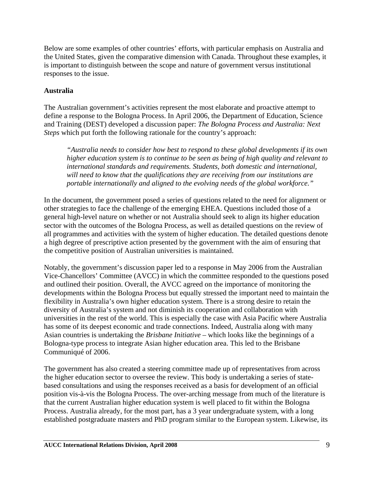Below are some examples of other countries' efforts, with particular emphasis on Australia and the United States, given the comparative dimension with Canada. Throughout these examples, it is important to distinguish between the scope and nature of government versus institutional responses to the issue.

### **Australia**

The Australian government's activities represent the most elaborate and proactive attempt to define a response to the Bologna Process. In April 2006, the Department of Education, Science and Training (DEST) developed a discussion paper: *The Bologna Process and Australia: Next Steps* which put forth the following rationale for the country's approach:

*"Australia needs to consider how best to respond to these global developments if its own higher education system is to continue to be seen as being of high quality and relevant to international standards and requirements. Students, both domestic and international, will need to know that the qualifications they are receiving from our institutions are portable internationally and aligned to the evolving needs of the global workforce."*

In the document, the government posed a series of questions related to the need for alignment or other strategies to face the challenge of the emerging EHEA. Questions included those of a general high-level nature on whether or not Australia should seek to align its higher education sector with the outcomes of the Bologna Process, as well as detailed questions on the review of all programmes and activities with the system of higher education. The detailed questions denote a high degree of prescriptive action presented by the government with the aim of ensuring that the competitive position of Australian universities is maintained.

Notably, the government's discussion paper led to a response in May 2006 from the Australian Vice-Chancellors' Committee (AVCC) in which the committee responded to the questions posed and outlined their position. Overall, the AVCC agreed on the importance of monitoring the developments within the Bologna Process but equally stressed the important need to maintain the flexibility in Australia's own higher education system. There is a strong desire to retain the diversity of Australia's system and not diminish its cooperation and collaboration with universities in the rest of the world. This is especially the case with Asia Pacific where Australia has some of its deepest economic and trade connections. Indeed, Australia along with many Asian countries is undertaking the *Brisbane Initiative* – which looks like the beginnings of a Bologna-type process to integrate Asian higher education area. This led to the Brisbane Communiqué of 2006.

The government has also created a steering committee made up of representatives from across the higher education sector to oversee the review. This body is undertaking a series of statebased consultations and using the responses received as a basis for development of an official position vis-à-vis the Bologna Process. The over-arching message from much of the literature is that the current Australian higher education system is well placed to fit within the Bologna Process. Australia already, for the most part, has a 3 year undergraduate system, with a long established postgraduate masters and PhD program similar to the European system. Likewise, its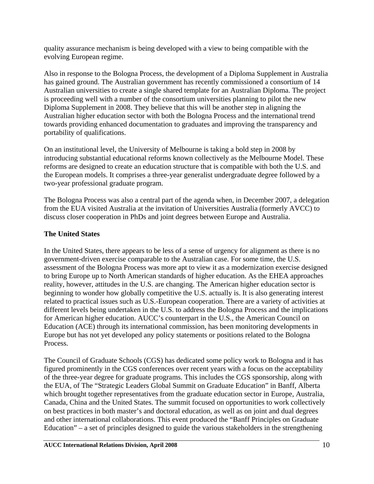quality assurance mechanism is being developed with a view to being compatible with the evolving European regime.

Also in response to the Bologna Process, the development of a Diploma Supplement in Australia has gained ground. The Australian government has recently commissioned a consortium of 14 Australian universities to create a single shared template for an Australian Diploma. The project is proceeding well with a number of the consortium universities planning to pilot the new Diploma Supplement in 2008. They believe that this will be another step in aligning the Australian higher education sector with both the Bologna Process and the international trend towards providing enhanced documentation to graduates and improving the transparency and portability of qualifications.

On an institutional level, the University of Melbourne is taking a bold step in 2008 by introducing substantial educational reforms known collectively as the Melbourne Model. These reforms are designed to create an education structure that is compatible with both the U.S. and the European models. It comprises a three-year generalist undergraduate degree followed by a two-year professional graduate program.

The Bologna Process was also a central part of the agenda when, in December 2007, a delegation from the EUA visited Australia at the invitation of Universities Australia (formerly AVCC) to discuss closer cooperation in PhDs and joint degrees between Europe and Australia.

## **The United States**

In the United States, there appears to be less of a sense of urgency for alignment as there is no government-driven exercise comparable to the Australian case. For some time, the U.S. assessment of the Bologna Process was more apt to view it as a modernization exercise designed to bring Europe up to North American standards of higher education. As the EHEA approaches reality, however, attitudes in the U.S. are changing. The American higher education sector is beginning to wonder how globally competitive the U.S. actually is. It is also generating interest related to practical issues such as U.S.-European cooperation. There are a variety of activities at different levels being undertaken in the U.S. to address the Bologna Process and the implications for American higher education. AUCC's counterpart in the U.S., the American Council on Education (ACE) through its international commission, has been monitoring developments in Europe but has not yet developed any policy statements or positions related to the Bologna Process.

The Council of Graduate Schools (CGS) has dedicated some policy work to Bologna and it has figured prominently in the CGS conferences over recent years with a focus on the acceptability of the three-year degree for graduate programs. This includes the CGS sponsorship, along with the EUA, of The "Strategic Leaders Global Summit on Graduate Education" in Banff, Alberta which brought together representatives from the graduate education sector in Europe, Australia, Canada, China and the United States. The summit focused on opportunities to work collectively on best practices in both master's and doctoral education, as well as on joint and dual degrees and other international collaborations. This event produced the "Banff Principles on Graduate Education" – a set of principles designed to guide the various stakeholders in the strengthening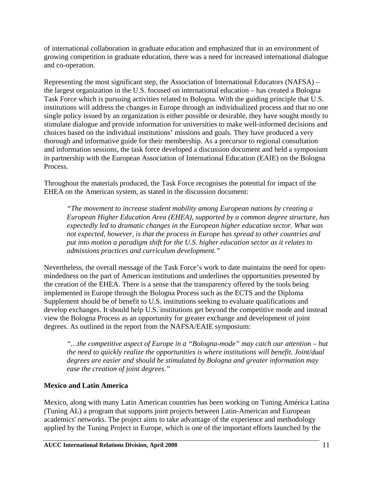of international collaboration in graduate education and emphasized that in an environment of growing competition in graduate education, there was a need for increased international dialogue and co-operation.

Representing the most significant step, the Association of International Educators (NAFSA) – the largest organization in the U.S. focused on international education – has created a Bologna Task Force which is pursuing activities related to Bologna. With the guiding principle that U.S. institutions will address the changes in Europe through an individualized process and that no one single policy issued by an organization is either possible or desirable, they have sought mostly to stimulate dialogue and provide information for universities to make well-informed decisions and choices based on the individual institutions' missions and goals. They have produced a very thorough and informative guide for their membership. As a precursor to regional consultation and information sessions, the task force developed a discussion document and held a symposium in partnership with the European Association of International Education (EAIE) on the Bologna Process.

Throughout the materials produced, the Task Force recognises the potential for impact of the EHEA on the American system, as stated in the discussion document:

*"The movement to increase student mobility among European nations by creating a European Higher Education Area (EHEA), supported by a common degree structure, has expectedly led to dramatic changes in the European higher education sector. What was not expected, however, is that the process in Europe has spread to other countries and put into motion a paradigm shift for the U.S. higher education sector as it relates to admissions practices and curriculum development."* 

Nevertheless, the overall message of the Task Force's work to date maintains the need for openmindedness on the part of American institutions and underlines the opportunities presented by the creation of the EHEA. There is a sense that the transparency offered by the tools being implemented in Europe through the Bologna Process such as the ECTS and the Diploma Supplement should be of benefit to U.S. institutions seeking to evaluate qualifications and develop exchanges. It should help U.S. institutions get beyond the competitive mode and instead view the Bologna Process as an opportunity for greater exchange and development of joint degrees. As outlined in the report from the NAFSA/EAIE symposium:

*"…the competitive aspect of Europe in a "Bologna-mode" may catch our attention – but the need to quickly realize the opportunities is where institutions will benefit. Joint/dual degrees are easier and should be stimulated by Bologna and greater information may ease the creation of joint degrees."* 

## **Mexico and Latin America**

Mexico, along with many Latin American countries has been working on Tuning América Latina (Tuning AL) a program that supports joint projects between Latin-American and European academics' networks. The project aims to take advantage of the experience and methodology applied by the Tuning Project in Europe, which is one of the important efforts launched by the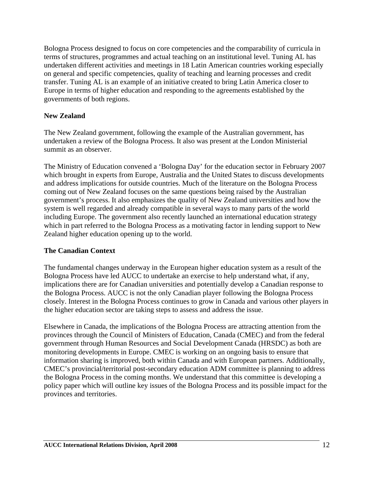Bologna Process designed to focus on core competencies and the comparability of curricula in terms of structures, programmes and actual teaching on an institutional level. Tuning AL has undertaken different activities and meetings in 18 Latin American countries working especially on general and specific competencies, quality of teaching and learning processes and credit transfer. Tuning AL is an example of an initiative created to bring Latin America closer to Europe in terms of higher education and responding to the agreements established by the governments of both regions.

### **New Zealand**

The New Zealand government, following the example of the Australian government, has undertaken a review of the Bologna Process. It also was present at the London Ministerial summit as an observer.

The Ministry of Education convened a 'Bologna Day' for the education sector in February 2007 which brought in experts from Europe, Australia and the United States to discuss developments and address implications for outside countries. Much of the literature on the Bologna Process coming out of New Zealand focuses on the same questions being raised by the Australian government's process. It also emphasizes the quality of New Zealand universities and how the system is well regarded and already compatible in several ways to many parts of the world including Europe. The government also recently launched an international education strategy which in part referred to the Bologna Process as a motivating factor in lending support to New Zealand higher education opening up to the world.

### **The Canadian Context**

The fundamental changes underway in the European higher education system as a result of the Bologna Process have led AUCC to undertake an exercise to help understand what, if any, implications there are for Canadian universities and potentially develop a Canadian response to the Bologna Process. AUCC is not the only Canadian player following the Bologna Process closely. Interest in the Bologna Process continues to grow in Canada and various other players in the higher education sector are taking steps to assess and address the issue.

Elsewhere in Canada, the implications of the Bologna Process are attracting attention from the provinces through the Council of Ministers of Education, Canada (CMEC) and from the federal government through Human Resources and Social Development Canada (HRSDC) as both are monitoring developments in Europe. CMEC is working on an ongoing basis to ensure that information sharing is improved, both within Canada and with European partners. Additionally, CMEC's provincial/territorial post-secondary education ADM committee is planning to address the Bologna Process in the coming months. We understand that this committee is developing a policy paper which will outline key issues of the Bologna Process and its possible impact for the provinces and territories.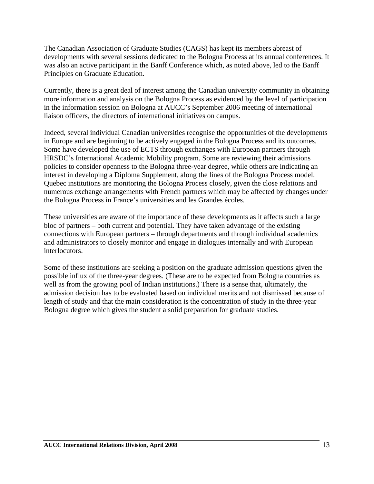The Canadian Association of Graduate Studies (CAGS) has kept its members abreast of developments with several sessions dedicated to the Bologna Process at its annual conferences. It was also an active participant in the Banff Conference which, as noted above, led to the Banff Principles on Graduate Education.

Currently, there is a great deal of interest among the Canadian university community in obtaining more information and analysis on the Bologna Process as evidenced by the level of participation in the information session on Bologna at AUCC's September 2006 meeting of international liaison officers, the directors of international initiatives on campus.

Indeed, several individual Canadian universities recognise the opportunities of the developments in Europe and are beginning to be actively engaged in the Bologna Process and its outcomes. Some have developed the use of ECTS through exchanges with European partners through HRSDC's International Academic Mobility program. Some are reviewing their admissions policies to consider openness to the Bologna three-year degree, while others are indicating an interest in developing a Diploma Supplement, along the lines of the Bologna Process model. Quebec institutions are monitoring the Bologna Process closely, given the close relations and numerous exchange arrangements with French partners which may be affected by changes under the Bologna Process in France's universities and les Grandes écoles.

These universities are aware of the importance of these developments as it affects such a large bloc of partners – both current and potential. They have taken advantage of the existing connections with European partners – through departments and through individual academics and administrators to closely monitor and engage in dialogues internally and with European interlocutors.

Some of these institutions are seeking a position on the graduate admission questions given the possible influx of the three-year degrees. (These are to be expected from Bologna countries as well as from the growing pool of Indian institutions.) There is a sense that, ultimately, the admission decision has to be evaluated based on individual merits and not dismissed because of length of study and that the main consideration is the concentration of study in the three-year Bologna degree which gives the student a solid preparation for graduate studies.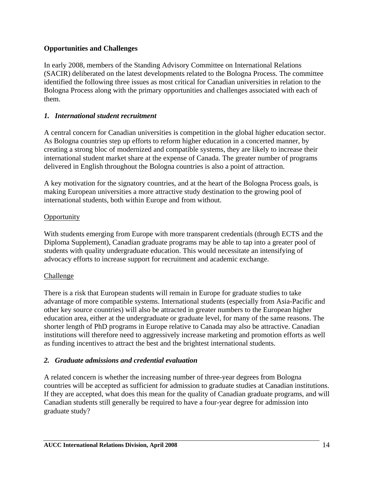### **Opportunities and Challenges**

In early 2008, members of the Standing Advisory Committee on International Relations (SACIR) deliberated on the latest developments related to the Bologna Process. The committee identified the following three issues as most critical for Canadian universities in relation to the Bologna Process along with the primary opportunities and challenges associated with each of them.

### *1. International student recruitment*

A central concern for Canadian universities is competition in the global higher education sector. As Bologna countries step up efforts to reform higher education in a concerted manner, by creating a strong bloc of modernized and compatible systems, they are likely to increase their international student market share at the expense of Canada. The greater number of programs delivered in English throughout the Bologna countries is also a point of attraction.

A key motivation for the signatory countries, and at the heart of the Bologna Process goals, is making European universities a more attractive study destination to the growing pool of international students, both within Europe and from without.

### **Opportunity**

With students emerging from Europe with more transparent credentials (through ECTS and the Diploma Supplement), Canadian graduate programs may be able to tap into a greater pool of students with quality undergraduate education. This would necessitate an intensifying of advocacy efforts to increase support for recruitment and academic exchange.

### Challenge

There is a risk that European students will remain in Europe for graduate studies to take advantage of more compatible systems. International students (especially from Asia-Pacific and other key source countries) will also be attracted in greater numbers to the European higher education area, either at the undergraduate or graduate level, for many of the same reasons. The shorter length of PhD programs in Europe relative to Canada may also be attractive. Canadian institutions will therefore need to aggressively increase marketing and promotion efforts as well as funding incentives to attract the best and the brightest international students.

### *2. Graduate admissions and credential evaluation*

A related concern is whether the increasing number of three-year degrees from Bologna countries will be accepted as sufficient for admission to graduate studies at Canadian institutions. If they are accepted, what does this mean for the quality of Canadian graduate programs, and will Canadian students still generally be required to have a four-year degree for admission into graduate study?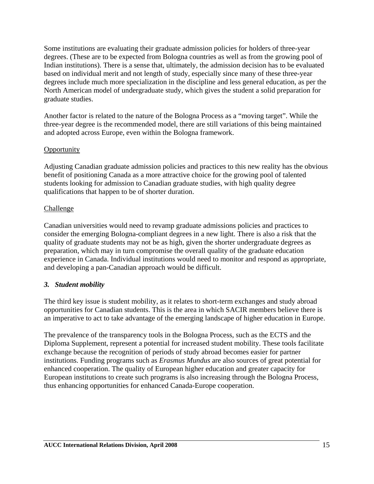Some institutions are evaluating their graduate admission policies for holders of three-year degrees. (These are to be expected from Bologna countries as well as from the growing pool of Indian institutions). There is a sense that, ultimately, the admission decision has to be evaluated based on individual merit and not length of study, especially since many of these three-year degrees include much more specialization in the discipline and less general education, as per the North American model of undergraduate study, which gives the student a solid preparation for graduate studies.

Another factor is related to the nature of the Bologna Process as a "moving target". While the three-year degree is the recommended model, there are still variations of this being maintained and adopted across Europe, even within the Bologna framework.

### **Opportunity**

Adjusting Canadian graduate admission policies and practices to this new reality has the obvious benefit of positioning Canada as a more attractive choice for the growing pool of talented students looking for admission to Canadian graduate studies, with high quality degree qualifications that happen to be of shorter duration.

#### **Challenge**

Canadian universities would need to revamp graduate admissions policies and practices to consider the emerging Bologna-compliant degrees in a new light. There is also a risk that the quality of graduate students may not be as high, given the shorter undergraduate degrees as preparation, which may in turn compromise the overall quality of the graduate education experience in Canada. Individual institutions would need to monitor and respond as appropriate, and developing a pan-Canadian approach would be difficult.

### *3. Student mobility*

The third key issue is student mobility, as it relates to short-term exchanges and study abroad opportunities for Canadian students. This is the area in which SACIR members believe there is an imperative to act to take advantage of the emerging landscape of higher education in Europe.

The prevalence of the transparency tools in the Bologna Process, such as the ECTS and the Diploma Supplement, represent a potential for increased student mobility. These tools facilitate exchange because the recognition of periods of study abroad becomes easier for partner institutions. Funding programs such as *Erasmus Mundus* are also sources of great potential for enhanced cooperation. The quality of European higher education and greater capacity for European institutions to create such programs is also increasing through the Bologna Process, thus enhancing opportunities for enhanced Canada-Europe cooperation.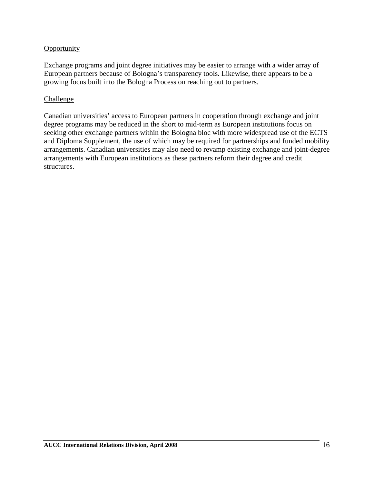### **Opportunity**

Exchange programs and joint degree initiatives may be easier to arrange with a wider array of European partners because of Bologna's transparency tools. Likewise, there appears to be a growing focus built into the Bologna Process on reaching out to partners.

### Challenge

Canadian universities' access to European partners in cooperation through exchange and joint degree programs may be reduced in the short to mid-term as European institutions focus on seeking other exchange partners within the Bologna bloc with more widespread use of the ECTS and Diploma Supplement, the use of which may be required for partnerships and funded mobility arrangements. Canadian universities may also need to revamp existing exchange and joint-degree arrangements with European institutions as these partners reform their degree and credit structures.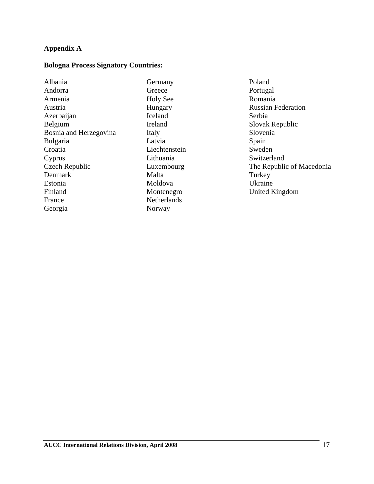### **Appendix A**

#### **Bologna Process Signatory Countries:**

| Albania                |
|------------------------|
| Andorra                |
| Armenia                |
| Austria                |
| Azerbaijan             |
| Belgium                |
| Bosnia and Herzegovina |
| <b>Bulgaria</b>        |
| Croatia                |
| Cyprus                 |
| Czech Republic         |
| Denmark                |
| Estonia                |
| Finland                |
| France                 |
| Georgia                |
|                        |

Germany Greece Holy See Hungary Iceland Ireland Italy Latvia Liechtenstein Lithuania Luxembourg Malta Moldova Montenegro Netherlands Norway

Poland Portugal Romania Russian Federation Serbia Slovak Republic Slovenia Spain Sweden Switzerland The Republic of Macedonia Turkey Ukraine United Kingdom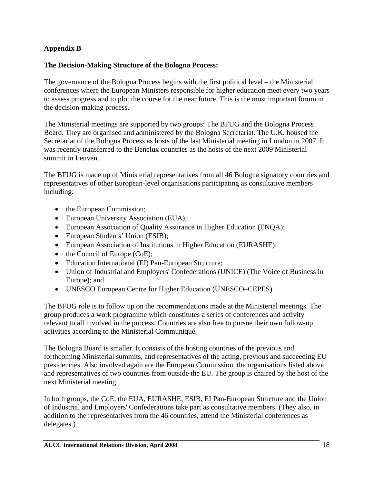## **Appendix B**

### **The Decision-Making Structure of the Bologna Process:**

The governance of the Bologna Process begins with the first political level – the Ministerial conferences where the European Ministers responsible for higher education meet every two years to assess progress and to plot the course for the near future. This is the most important forum in the decision-making process.

The Ministerial meetings are supported by two groups: The BFUG and the Bologna Process Board. They are organised and administered by the Bologna Secretariat. The U.K. housed the Secretariat of the Bologna Process as hosts of the last Ministerial meeting in London in 2007. It was recently transferred to the Benelux countries as the hosts of the next 2009 Ministerial summit in Leuven.

The BFUG is made up of Ministerial representatives from all 46 Bologna signatory countries and representatives of other European-level organisations participating as consultative members including:

- the European Commission;
- European University Association (EUA);
- European Association of Quality Assurance in Higher Education (ENQA);
- European Students' Union (ESIB);
- European Association of Institutions in Higher Education (EURASHE);
- the Council of Europe (CoE);
- Education International (EI) Pan-European Structure;
- Union of Industrial and Employers' Confederations (UNICE) (The Voice of Business in Europe); and
- UNESCO European Centre for Higher Education (UNESCO–CEPES).

The BFUG role is to follow up on the recommendations made at the Ministerial meetings. The group produces a work programme which constitutes a series of conferences and activity relevant to all involved in the process. Countries are also free to pursue their own follow-up activities according to the Ministerial Communiqué.

The Bologna Board is smaller. It consists of the hosting countries of the previous and forthcoming Ministerial summits, and representatives of the acting, previous and succeeding EU presidencies. Also involved again are the European Commission, the organisations listed above and representatives of two countries from outside the EU. The group is chaired by the host of the next Ministerial meeting.

In both groups, the CoE, the EUA, EURASHE, ESIB, EI Pan-European Structure and the Union of Industrial and Employers' Confederations take part as consultative members. (They also, in addition to the representatives from the 46 countries, attend the Ministerial conferences as delegates.)